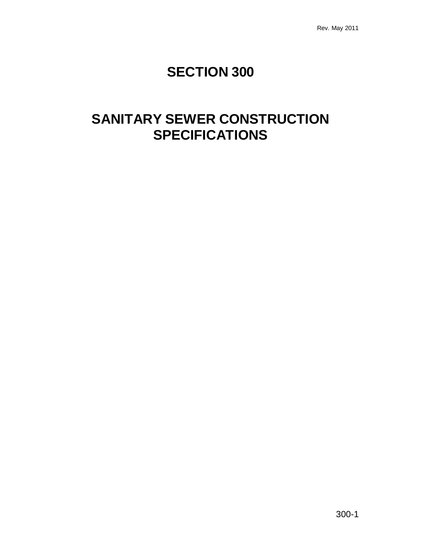# **SECTION 300**

# **SANITARY SEWER CONSTRUCTION SPECIFICATIONS**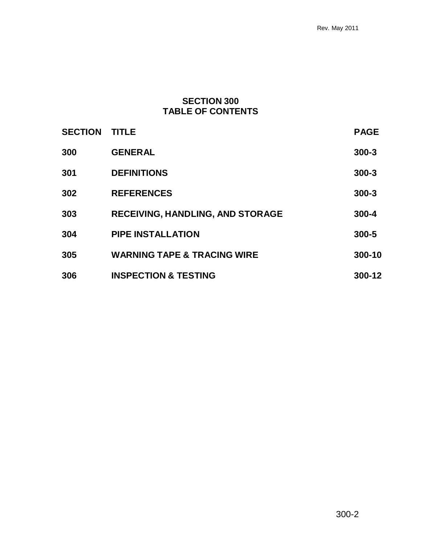# **SECTION 300 TABLE OF CONTENTS**

| <b>SECTION</b> | <b>TITLE</b>                            | <b>PAGE</b> |
|----------------|-----------------------------------------|-------------|
| 300            | <b>GENERAL</b>                          | $300 - 3$   |
| 301            | <b>DEFINITIONS</b>                      | $300 - 3$   |
| 302            | <b>REFERENCES</b>                       | $300 - 3$   |
| 303            | <b>RECEIVING, HANDLING, AND STORAGE</b> | 300-4       |
| 304            | <b>PIPE INSTALLATION</b>                | 300-5       |
| 305            | <b>WARNING TAPE &amp; TRACING WIRE</b>  | 300-10      |
| 306            | <b>INSPECTION &amp; TESTING</b>         | 300-12      |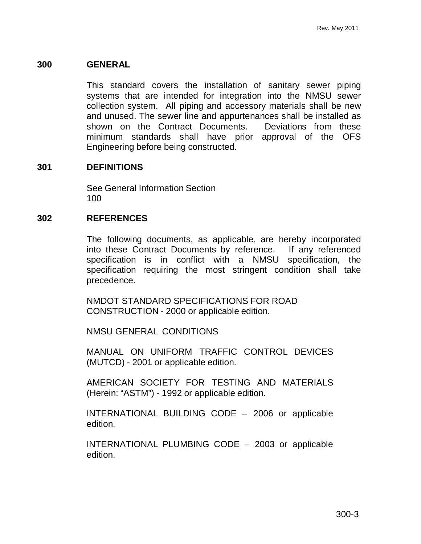#### **300 GENERAL**

This standard covers the installation of sanitary sewer piping systems that are intended for integration into the NMSU sewer collection system. All piping and accessory materials shall be new and unused. The sewer line and appurtenances shall be installed as shown on the Contract Documents. Deviations from these minimum standards shall have prior approval of the OFS Engineering before being constructed.

#### **301 DEFINITIONS**

See General Information Section 100

#### **302 REFERENCES**

The following documents, as applicable, are hereby incorporated into these Contract Documents by reference. If any referenced specification is in conflict with a NMSU specification, the specification requiring the most stringent condition shall take precedence.

NMDOT STANDARD SPECIFICATIONS FOR ROAD CONSTRUCTION - 2000 or applicable edition.

NMSU GENERAL CONDITIONS

MANUAL ON UNIFORM TRAFFIC CONTROL DEVICES (MUTCD) - 2001 or applicable edition.

AMERICAN SOCIETY FOR TESTING AND MATERIALS (Herein: "ASTM") - 1992 or applicable edition.

INTERNATIONAL BUILDING CODE – 2006 or applicable edition.

INTERNATIONAL PLUMBING CODE – 2003 or applicable edition.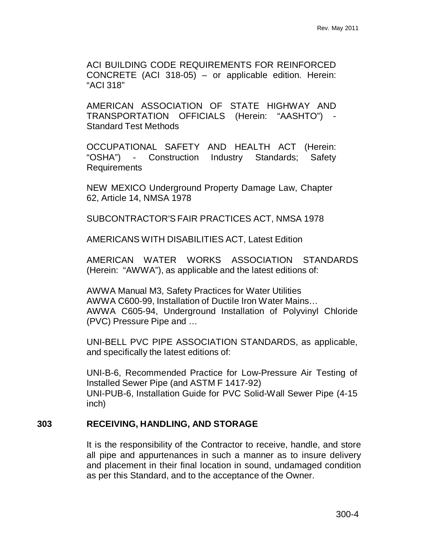ACI BUILDING CODE REQUIREMENTS FOR REINFORCED CONCRETE (ACI 318-05) – or applicable edition. Herein: "ACI 318"

AMERICAN ASSOCIATION OF STATE HIGHWAY AND TRANSPORTATION OFFICIALS (Herein: "AASHTO") Standard Test Methods

OCCUPATIONAL SAFETY AND HEALTH ACT (Herein: "OSHA") - Construction Industry Standards; Safety Requirements

NEW MEXICO Underground Property Damage Law, Chapter 62, Article 14, NMSA 1978

SUBCONTRACTOR'S FAIR PRACTICES ACT, NMSA 1978

AMERICANS WITH DISABILITIES ACT, Latest Edition

AMERICAN WATER WORKS ASSOCIATION STANDARDS (Herein: "AWWA"), as applicable and the latest editions of:

AWWA Manual M3, Safety Practices for Water Utilities AWWA C600-99, Installation of Ductile Iron Water Mains… AWWA C605-94, Underground Installation of Polyvinyl Chloride (PVC) Pressure Pipe and …

UNI-BELL PVC PIPE ASSOCIATION STANDARDS, as applicable, and specifically the latest editions of:

UNI-B-6, Recommended Practice for Low-Pressure Air Testing of Installed Sewer Pipe (and ASTM F 1417-92) UNI-PUB-6, Installation Guide for PVC Solid-Wall Sewer Pipe (4-15 inch)

### **303 RECEIVING, HANDLING, AND STORAGE**

It is the responsibility of the Contractor to receive, handle, and store all pipe and appurtenances in such a manner as to insure delivery and placement in their final location in sound, undamaged condition as per this Standard, and to the acceptance of the Owner.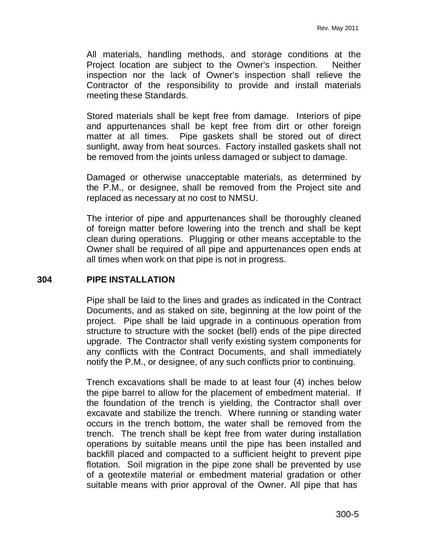All materials, handling methods, and storage conditions at the Project location are subject to the Owner's inspection. Neither inspection nor the lack of Owner's inspection shall relieve the Contractor of the responsibility to provide and install materials meeting these Standards.

Stored materials shall be kept free from damage. Interiors of pipe and appurtenances shall be kept free from dirt or other foreign matter at all times. Pipe gaskets shall be stored out of direct sunlight, away from heat sources. Factory installed gaskets shall not be removed from the joints unless damaged or subject to damage.

Damaged or otherwise unacceptable materials, as determined by the P.M., or designee, shall be removed from the Project site and replaced as necessary at no cost to NMSU.

The interior of pipe and appurtenances shall be thoroughly cleaned of foreign matter before lowering into the trench and shall be kept clean during operations. Plugging or other means acceptable to the Owner shall be required of all pipe and appurtenances open ends at all times when work on that pipe is not in progress.

### **304 PIPE INSTALLATION**

Pipe shall be laid to the lines and grades as indicated in the Contract Documents, and as staked on site, beginning at the low point of the project. Pipe shall be laid upgrade in a continuous operation from structure to structure with the socket (bell) ends of the pipe directed upgrade. The Contractor shall verify existing system components for any conflicts with the Contract Documents, and shall immediately notify the P.M., or designee, of any such conflicts prior to continuing.

Trench excavations shall be made to at least four (4) inches below the pipe barrel to allow for the placement of embedment material. If the foundation of the trench is yielding, the Contractor shall over excavate and stabilize the trench. Where running or standing water occurs in the trench bottom, the water shall be removed from the trench. The trench shall be kept free from water during installation operations by suitable means until the pipe has been installed and backfill placed and compacted to a sufficient height to prevent pipe flotation. Soil migration in the pipe zone shall be prevented by use of a geotextile material or embedment material gradation or other suitable means with prior approval of the Owner. All pipe that has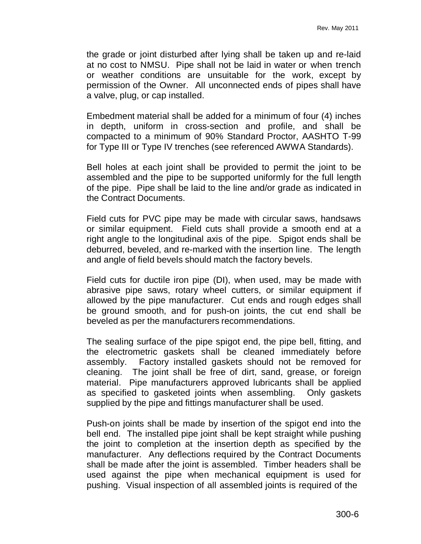the grade or joint disturbed after lying shall be taken up and re-laid at no cost to NMSU. Pipe shall not be laid in water or when trench or weather conditions are unsuitable for the work, except by permission of the Owner. All unconnected ends of pipes shall have a valve, plug, or cap installed.

Embedment material shall be added for a minimum of four (4) inches in depth, uniform in cross-section and profile, and shall be compacted to a minimum of 90% Standard Proctor, AASHTO T-99 for Type III or Type IV trenches (see referenced AWWA Standards).

Bell holes at each joint shall be provided to permit the joint to be assembled and the pipe to be supported uniformly for the full length of the pipe. Pipe shall be laid to the line and/or grade as indicated in the Contract Documents.

Field cuts for PVC pipe may be made with circular saws, handsaws or similar equipment. Field cuts shall provide a smooth end at a right angle to the longitudinal axis of the pipe. Spigot ends shall be deburred, beveled, and re-marked with the insertion line. The length and angle of field bevels should match the factory bevels.

Field cuts for ductile iron pipe (DI), when used, may be made with abrasive pipe saws, rotary wheel cutters, or similar equipment if allowed by the pipe manufacturer. Cut ends and rough edges shall be ground smooth, and for push-on joints, the cut end shall be beveled as per the manufacturers recommendations.

The sealing surface of the pipe spigot end, the pipe bell, fitting, and the electrometric gaskets shall be cleaned immediately before assembly. Factory installed gaskets should not be removed for cleaning. The joint shall be free of dirt, sand, grease, or foreign material. Pipe manufacturers approved lubricants shall be applied as specified to gasketed joints when assembling. Only gaskets supplied by the pipe and fittings manufacturer shall be used.

Push-on joints shall be made by insertion of the spigot end into the bell end. The installed pipe joint shall be kept straight while pushing the joint to completion at the insertion depth as specified by the manufacturer. Any deflections required by the Contract Documents shall be made after the joint is assembled. Timber headers shall be used against the pipe when mechanical equipment is used for pushing. Visual inspection of all assembled joints is required of the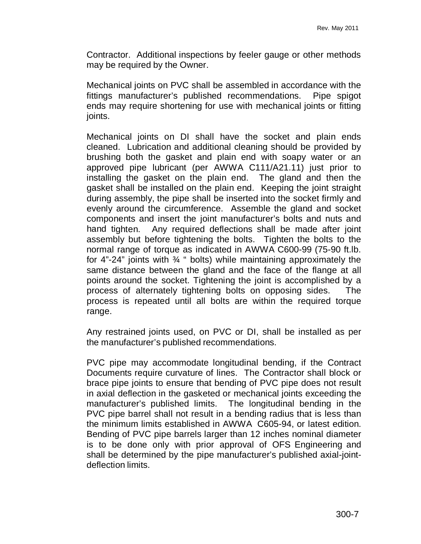Contractor. Additional inspections by feeler gauge or other methods may be required by the Owner.

Mechanical joints on PVC shall be assembled in accordance with the fittings manufacturer's published recommendations. Pipe spigot ends may require shortening for use with mechanical joints or fitting joints.

Mechanical joints on DI shall have the socket and plain ends cleaned. Lubrication and additional cleaning should be provided by brushing both the gasket and plain end with soapy water or an approved pipe lubricant (per AWWA C111/A21.11) just prior to installing the gasket on the plain end. The gland and then the gasket shall be installed on the plain end. Keeping the joint straight during assembly, the pipe shall be inserted into the socket firmly and evenly around the circumference. Assemble the gland and socket components and insert the joint manufacturer's bolts and nuts and hand tighten. Any required deflections shall be made after joint assembly but before tightening the bolts. Tighten the bolts to the normal range of torque as indicated in AWWA C600-99 (75-90 ft.lb. for 4"-24" joints with ¾ " bolts) while maintaining approximately the same distance between the gland and the face of the flange at all points around the socket. Tightening the joint is accomplished by a process of alternately tightening bolts on opposing sides. The process is repeated until all bolts are within the required torque range.

Any restrained joints used, on PVC or DI, shall be installed as per the manufacturer's published recommendations.

PVC pipe may accommodate longitudinal bending, if the Contract Documents require curvature of lines. The Contractor shall block or brace pipe joints to ensure that bending of PVC pipe does not result in axial deflection in the gasketed or mechanical joints exceeding the manufacturer's published limits. The longitudinal bending in the PVC pipe barrel shall not result in a bending radius that is less than the minimum limits established in AWWA C605-94, or latest edition. Bending of PVC pipe barrels larger than 12 inches nominal diameter is to be done only with prior approval of OFS Engineering and shall be determined by the pipe manufacturer's published axial-jointdeflection limits.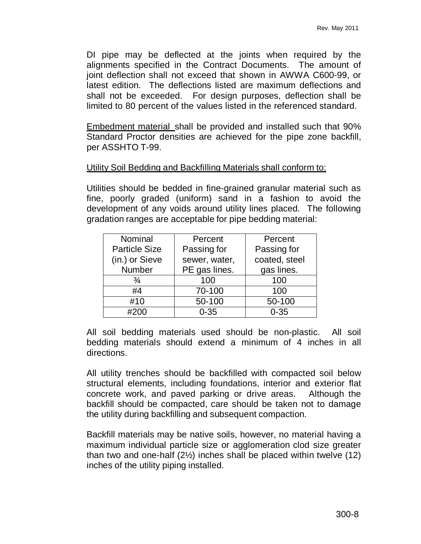DI pipe may be deflected at the joints when required by the alignments specified in the Contract Documents. The amount of joint deflection shall not exceed that shown in AWWA C600-99, or latest edition. The deflections listed are maximum deflections and shall not be exceeded. For design purposes, deflection shall be limited to 80 percent of the values listed in the referenced standard.

Embedment material shall be provided and installed such that 90% Standard Proctor densities are achieved for the pipe zone backfill, per ASSHTO T-99.

### Utility Soil Bedding and Backfilling Materials shall conform to:

Utilities should be bedded in fine-grained granular material such as fine, poorly graded (uniform) sand in a fashion to avoid the development of any voids around utility lines placed. The following gradation ranges are acceptable for pipe bedding material:

| Nominal              | Percent       | Percent       |
|----------------------|---------------|---------------|
| <b>Particle Size</b> | Passing for   | Passing for   |
| (in.) or Sieve       | sewer, water, | coated, steel |
| Number               | PE gas lines. | gas lines.    |
| $\frac{3}{4}$        | 100           | 100           |
| #4                   | 70-100        | 100           |
| #10                  | 50-100        | 50-100        |
| #200                 | $0 - 35$      | $0 - 35$      |

All soil bedding materials used should be non-plastic. All soil bedding materials should extend a minimum of 4 inches in all directions.

All utility trenches should be backfilled with compacted soil below structural elements, including foundations, interior and exterior flat concrete work, and paved parking or drive areas. Although the backfill should be compacted, care should be taken not to damage the utility during backfilling and subsequent compaction.

Backfill materials may be native soils, however, no material having a maximum individual particle size or agglomeration clod size greater than two and one-half (2½) inches shall be placed within twelve (12) inches of the utility piping installed.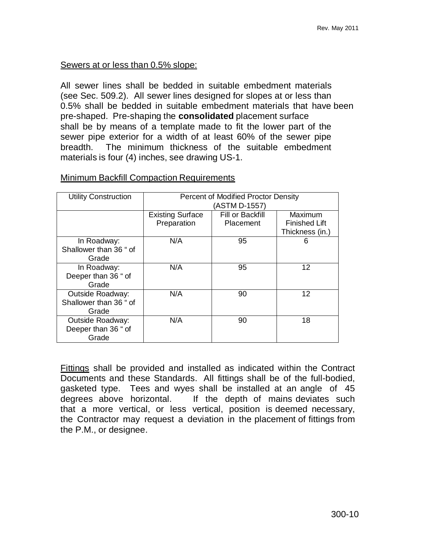## Sewers at or less than 0.5% slope:

All sewer lines shall be bedded in suitable embedment materials (see Sec. 509.2). All sewer lines designed for slopes at or less than 0.5% shall be bedded in suitable embedment materials that have been pre-shaped. Pre-shaping the **consolidated** placement surface shall be by means of a template made to fit the lower part of the sewer pipe exterior for a width of at least 60% of the sewer pipe breadth. The minimum thickness of the suitable embedment materials is four (4) inches, see drawing US-1.

| <b>Utility Construction</b> | Percent of Modified Proctor Density |                  |                      |  |  |  |
|-----------------------------|-------------------------------------|------------------|----------------------|--|--|--|
|                             | (ASTM D-1557)                       |                  |                      |  |  |  |
|                             | <b>Existing Surface</b>             | Fill or Backfill | Maximum              |  |  |  |
|                             | Preparation                         | Placement        | <b>Finished Lift</b> |  |  |  |
|                             |                                     |                  | Thickness (in.)      |  |  |  |
| In Roadway:                 | N/A                                 | 95               | 6                    |  |  |  |
| Shallower than 36 " of      |                                     |                  |                      |  |  |  |
| Grade                       |                                     |                  |                      |  |  |  |
| In Roadway:                 | N/A                                 | 95               | 12                   |  |  |  |
| Deeper than 36 " of         |                                     |                  |                      |  |  |  |
| Grade                       |                                     |                  |                      |  |  |  |
| <b>Outside Roadway:</b>     | N/A                                 | 90               | 12                   |  |  |  |
| Shallower than 36 " of      |                                     |                  |                      |  |  |  |
| Grade                       |                                     |                  |                      |  |  |  |
| <b>Outside Roadway:</b>     | N/A                                 | 90               | 18                   |  |  |  |
| Deeper than 36 " of         |                                     |                  |                      |  |  |  |
| Grade                       |                                     |                  |                      |  |  |  |

## Minimum Backfill Compaction Requirements

Fittings shall be provided and installed as indicated within the Contract Documents and these Standards. All fittings shall be of the full-bodied, gasketed type. Tees and wyes shall be installed at an angle of 45 degrees above horizontal. If the depth of mains deviates such that a more vertical, or less vertical, position is deemed necessary, the Contractor may request a deviation in the placement of fittings from the P.M., or designee.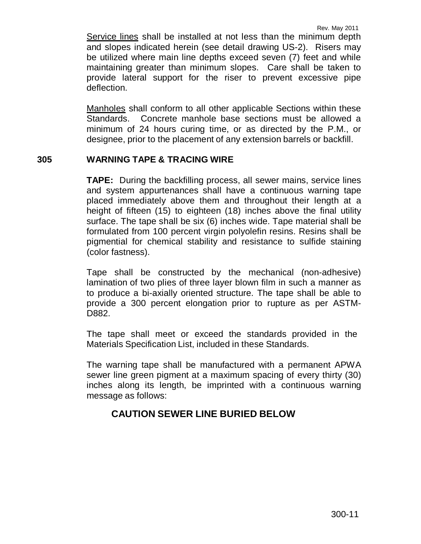Service lines shall be installed at not less than the minimum depth and slopes indicated herein (see detail drawing US-2). Risers may be utilized where main line depths exceed seven (7) feet and while maintaining greater than minimum slopes. Care shall be taken to provide lateral support for the riser to prevent excessive pipe deflection.

Manholes shall conform to all other applicable Sections within these Standards. Concrete manhole base sections must be allowed a minimum of 24 hours curing time, or as directed by the P.M., or designee, prior to the placement of any extension barrels or backfill.

### **305 WARNING TAPE & TRACING WIRE**

**TAPE:** During the backfilling process, all sewer mains, service lines and system appurtenances shall have a continuous warning tape placed immediately above them and throughout their length at a height of fifteen (15) to eighteen (18) inches above the final utility surface. The tape shall be six (6) inches wide. Tape material shall be formulated from 100 percent virgin polyolefin resins. Resins shall be pigmential for chemical stability and resistance to sulfide staining (color fastness).

Tape shall be constructed by the mechanical (non-adhesive) lamination of two plies of three layer blown film in such a manner as to produce a bi-axially oriented structure. The tape shall be able to provide a 300 percent elongation prior to rupture as per ASTM-D882.

The tape shall meet or exceed the standards provided in the Materials Specification List, included in these Standards.

The warning tape shall be manufactured with a permanent APWA sewer line green pigment at a maximum spacing of every thirty (30) inches along its length, be imprinted with a continuous warning message as follows:

## **CAUTION SEWER LINE BURIED BELOW**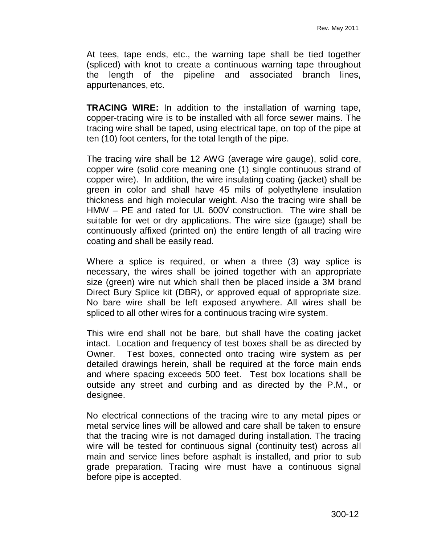At tees, tape ends, etc., the warning tape shall be tied together (spliced) with knot to create a continuous warning tape throughout the length of the pipeline and associated branch lines, appurtenances, etc.

**TRACING WIRE:** In addition to the installation of warning tape, copper-tracing wire is to be installed with all force sewer mains. The tracing wire shall be taped, using electrical tape, on top of the pipe at ten (10) foot centers, for the total length of the pipe.

The tracing wire shall be 12 AWG (average wire gauge), solid core, copper wire (solid core meaning one (1) single continuous strand of copper wire). In addition, the wire insulating coating (jacket) shall be green in color and shall have 45 mils of polyethylene insulation thickness and high molecular weight. Also the tracing wire shall be HMW – PE and rated for UL 600V construction. The wire shall be suitable for wet or dry applications. The wire size (gauge) shall be continuously affixed (printed on) the entire length of all tracing wire coating and shall be easily read.

Where a splice is required, or when a three (3) way splice is necessary, the wires shall be joined together with an appropriate size (green) wire nut which shall then be placed inside a 3M brand Direct Bury Splice kit (DBR), or approved equal of appropriate size. No bare wire shall be left exposed anywhere. All wires shall be spliced to all other wires for a continuous tracing wire system.

This wire end shall not be bare, but shall have the coating jacket intact. Location and frequency of test boxes shall be as directed by Owner. Test boxes, connected onto tracing wire system as per detailed drawings herein, shall be required at the force main ends and where spacing exceeds 500 feet. Test box locations shall be outside any street and curbing and as directed by the P.M., or designee.

No electrical connections of the tracing wire to any metal pipes or metal service lines will be allowed and care shall be taken to ensure that the tracing wire is not damaged during installation. The tracing wire will be tested for continuous signal (continuity test) across all main and service lines before asphalt is installed, and prior to sub grade preparation. Tracing wire must have a continuous signal before pipe is accepted.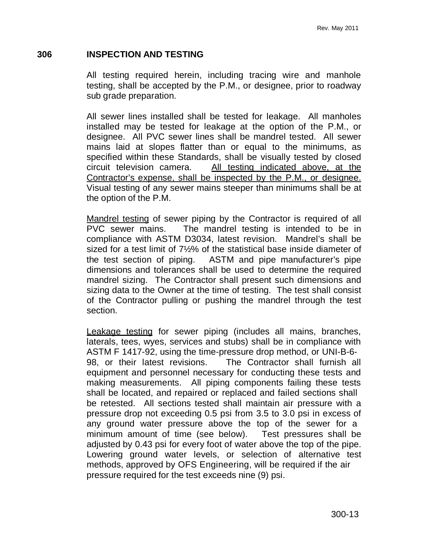### **306 INSPECTION AND TESTING**

All testing required herein, including tracing wire and manhole testing, shall be accepted by the P.M., or designee, prior to roadway sub grade preparation.

All sewer lines installed shall be tested for leakage. All manholes installed may be tested for leakage at the option of the P.M., or designee. All PVC sewer lines shall be mandrel tested. All sewer mains laid at slopes flatter than or equal to the minimums, as specified within these Standards, shall be visually tested by closed circuit television camera. All testing indicated above, at the Contractor's expense, shall be inspected by the P.M., or designee. Visual testing of any sewer mains steeper than minimums shall be at the option of the P.M.

Mandrel testing of sewer piping by the Contractor is required of all PVC sewer mains. The mandrel testing is intended to be in compliance with ASTM D3034, latest revision. Mandrel's shall be sized for a test limit of 7½% of the statistical base inside diameter of the test section of piping. ASTM and pipe manufacturer's pipe dimensions and tolerances shall be used to determine the required mandrel sizing. The Contractor shall present such dimensions and sizing data to the Owner at the time of testing. The test shall consist of the Contractor pulling or pushing the mandrel through the test section.

Leakage testing for sewer piping (includes all mains, branches, laterals, tees, wyes, services and stubs) shall be in compliance with ASTM F 1417-92, using the time-pressure drop method, or UNI-B-6- 98, or their latest revisions. The Contractor shall furnish all equipment and personnel necessary for conducting these tests and making measurements. All piping components failing these tests shall be located, and repaired or replaced and failed sections shall be retested. All sections tested shall maintain air pressure with a pressure drop not exceeding 0.5 psi from 3.5 to 3.0 psi in excess of any ground water pressure above the top of the sewer for a minimum amount of time (see below). Test pressures shall be adjusted by 0.43 psi for every foot of water above the top of the pipe. Lowering ground water levels, or selection of alternative test methods, approved by OFS Engineering, will be required if the air pressure required for the test exceeds nine (9) psi.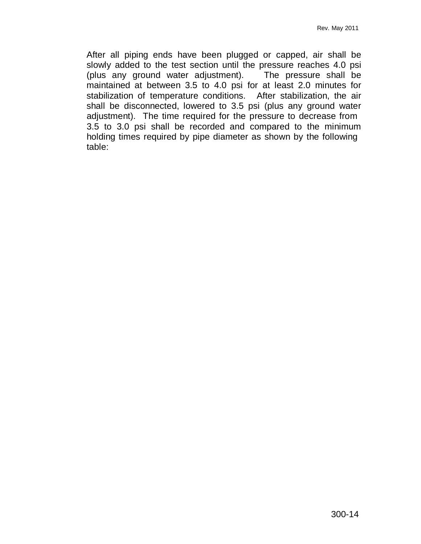After all piping ends have been plugged or capped, air shall be slowly added to the test section until the pressure reaches 4.0 psi<br>(plus any ground water adjustment). The pressure shall be (plus any ground water adjustment). maintained at between 3.5 to 4.0 psi for at least 2.0 minutes for stabilization of temperature conditions. After stabilization, the air shall be disconnected, lowered to 3.5 psi (plus any ground water adjustment). The time required for the pressure to decrease from 3.5 to 3.0 psi shall be recorded and compared to the minimum holding times required by pipe diameter as shown by the following table: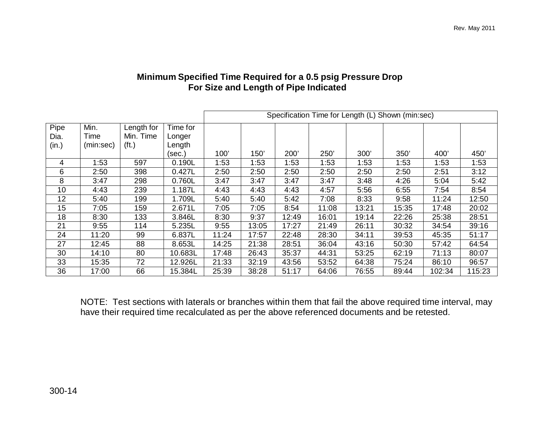## **Minimum Specified Time Required for a 0.5 psig Pressure Drop For Size and Length of Pipe Indicated**

|       |           |                   |          | Specification Time for Length (L) Shown (min:sec) |       |       |       |       |       |        |        |
|-------|-----------|-------------------|----------|---------------------------------------------------|-------|-------|-------|-------|-------|--------|--------|
| Pipe  | Min.      | Length for        | Time for |                                                   |       |       |       |       |       |        |        |
| Dia.  | Time      | Min. Time         | Longer   |                                                   |       |       |       |       |       |        |        |
| (in.) | (min:sec) | (f <sub>t</sub> ) | Length   |                                                   |       |       |       |       |       |        |        |
|       |           |                   | (sec.)   | 100'                                              | 150'  | 200'  | 250'  | 300'  | 350'  | 400'   | 450'   |
| 4     | 1:53      | 597               | 0.190L   | 1:53                                              | 1:53  | 1:53  | 1:53  | 1:53  | 1:53  | 1:53   | 1:53   |
| 6     | 2:50      | 398               | 0.427L   | 2:50                                              | 2:50  | 2:50  | 2:50  | 2:50  | 2:50  | 2:51   | 3:12   |
| 8     | 3:47      | 298               | 0.760L   | 3:47                                              | 3:47  | 3:47  | 3:47  | 3:48  | 4:26  | 5:04   | 5:42   |
| 10    | 4:43      | 239               | 1.187L   | 4:43                                              | 4:43  | 4:43  | 4:57  | 5:56  | 6:55  | 7:54   | 8:54   |
| 12    | 5:40      | 199               | 1.709L   | 5:40                                              | 5:40  | 5:42  | 7:08  | 8:33  | 9:58  | 11:24  | 12:50  |
| 15    | 7:05      | 159               | 2.671L   | 7:05                                              | 7:05  | 8:54  | 11:08 | 13:21 | 15:35 | 17:48  | 20:02  |
| 18    | 8:30      | 133               | 3.846L   | 8:30                                              | 9:37  | 12:49 | 16:01 | 19:14 | 22:26 | 25:38  | 28:51  |
| 21    | 9:55      | 114               | 5.235L   | 9:55                                              | 13:05 | 17:27 | 21:49 | 26:11 | 30:32 | 34:54  | 39:16  |
| 24    | 11:20     | 99                | 6.837L   | 11:24                                             | 17:57 | 22:48 | 28:30 | 34:11 | 39:53 | 45:35  | 51:17  |
| 27    | 12:45     | 88                | 8.653L   | 14:25                                             | 21:38 | 28:51 | 36:04 | 43:16 | 50:30 | 57:42  | 64:54  |
| 30    | 14:10     | 80                | 10.683L  | 17:48                                             | 26:43 | 35:37 | 44:31 | 53:25 | 62:19 | 71:13  | 80:07  |
| 33    | 15:35     | 72                | 12.926L  | 21:33                                             | 32:19 | 43:56 | 53:52 | 64:38 | 75:24 | 86:10  | 96:57  |
| 36    | 17:00     | 66                | 15.384L  | 25:39                                             | 38:28 | 51:17 | 64:06 | 76:55 | 89:44 | 102:34 | 115:23 |

NOTE: Test sections with laterals or branches within them that fail the above required time interval, may have their required time recalculated as per the above referenced documents and be retested.